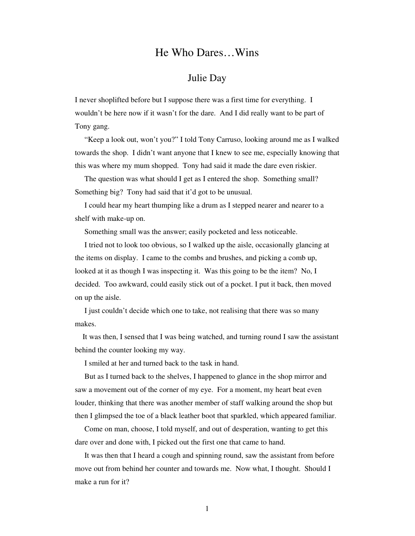## He Who Dares…Wins

## Julie Day

I never shoplifted before but I suppose there was a first time for everything. I wouldn't be here now if it wasn't for the dare. And I did really want to be part of Tony gang.

 "Keep a look out, won't you?" I told Tony Carruso, looking around me as I walked towards the shop. I didn't want anyone that I knew to see me, especially knowing that this was where my mum shopped. Tony had said it made the dare even riskier.

 The question was what should I get as I entered the shop. Something small? Something big? Tony had said that it'd got to be unusual.

 I could hear my heart thumping like a drum as I stepped nearer and nearer to a shelf with make-up on.

Something small was the answer; easily pocketed and less noticeable.

 I tried not to look too obvious, so I walked up the aisle, occasionally glancing at the items on display. I came to the combs and brushes, and picking a comb up, looked at it as though I was inspecting it. Was this going to be the item? No, I decided. Too awkward, could easily stick out of a pocket. I put it back, then moved on up the aisle.

 I just couldn't decide which one to take, not realising that there was so many makes.

 It was then, I sensed that I was being watched, and turning round I saw the assistant behind the counter looking my way.

I smiled at her and turned back to the task in hand.

 But as I turned back to the shelves, I happened to glance in the shop mirror and saw a movement out of the corner of my eye. For a moment, my heart beat even louder, thinking that there was another member of staff walking around the shop but then I glimpsed the toe of a black leather boot that sparkled, which appeared familiar.

 Come on man, choose, I told myself, and out of desperation, wanting to get this dare over and done with, I picked out the first one that came to hand.

 It was then that I heard a cough and spinning round, saw the assistant from before move out from behind her counter and towards me. Now what, I thought. Should I make a run for it?

1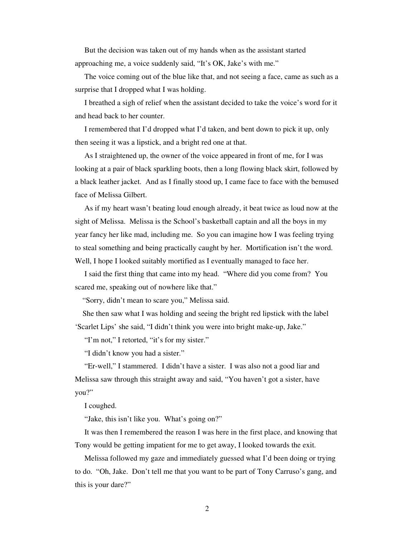But the decision was taken out of my hands when as the assistant started approaching me, a voice suddenly said, "It's OK, Jake's with me."

 The voice coming out of the blue like that, and not seeing a face, came as such as a surprise that I dropped what I was holding.

 I breathed a sigh of relief when the assistant decided to take the voice's word for it and head back to her counter.

 I remembered that I'd dropped what I'd taken, and bent down to pick it up, only then seeing it was a lipstick, and a bright red one at that.

 As I straightened up, the owner of the voice appeared in front of me, for I was looking at a pair of black sparkling boots, then a long flowing black skirt, followed by a black leather jacket. And as I finally stood up, I came face to face with the bemused face of Melissa Gilbert.

 As if my heart wasn't beating loud enough already, it beat twice as loud now at the sight of Melissa. Melissa is the School's basketball captain and all the boys in my year fancy her like mad, including me. So you can imagine how I was feeling trying to steal something and being practically caught by her. Mortification isn't the word. Well, I hope I looked suitably mortified as I eventually managed to face her.

 I said the first thing that came into my head. "Where did you come from? You scared me, speaking out of nowhere like that."

"Sorry, didn't mean to scare you," Melissa said.

 She then saw what I was holding and seeing the bright red lipstick with the label 'Scarlet Lips' she said, "I didn't think you were into bright make-up, Jake."

"I'm not," I retorted, "it's for my sister."

"I didn't know you had a sister."

 "Er-well," I stammered. I didn't have a sister. I was also not a good liar and Melissa saw through this straight away and said, "You haven't got a sister, have you?"

I coughed.

"Jake, this isn't like you. What's going on?"

 It was then I remembered the reason I was here in the first place, and knowing that Tony would be getting impatient for me to get away, I looked towards the exit.

 Melissa followed my gaze and immediately guessed what I'd been doing or trying to do. "Oh, Jake. Don't tell me that you want to be part of Tony Carruso's gang, and this is your dare?"

2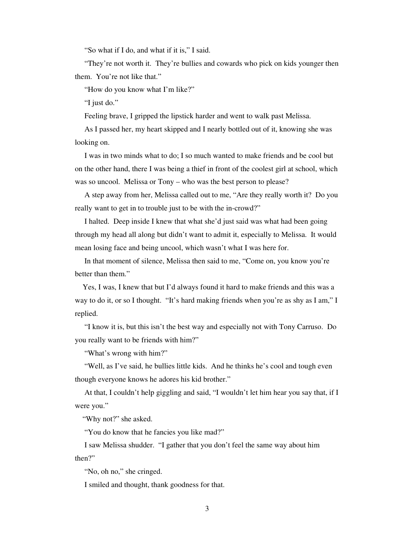"So what if I do, and what if it is," I said.

"They're not worth it. They're bullies and cowards who pick on kids younger then them. You're not like that."

"How do you know what I'm like?"

"I just do."

Feeling brave, I gripped the lipstick harder and went to walk past Melissa.

 As I passed her, my heart skipped and I nearly bottled out of it, knowing she was looking on.

 I was in two minds what to do; I so much wanted to make friends and be cool but on the other hand, there I was being a thief in front of the coolest girl at school, which was so uncool. Melissa or Tony – who was the best person to please?

 A step away from her, Melissa called out to me, "Are they really worth it? Do you really want to get in to trouble just to be with the in-crowd?"

 I halted. Deep inside I knew that what she'd just said was what had been going through my head all along but didn't want to admit it, especially to Melissa. It would mean losing face and being uncool, which wasn't what I was here for.

 In that moment of silence, Melissa then said to me, "Come on, you know you're better than them."

 Yes, I was, I knew that but I'd always found it hard to make friends and this was a way to do it, or so I thought. "It's hard making friends when you're as shy as I am," I replied.

 "I know it is, but this isn't the best way and especially not with Tony Carruso. Do you really want to be friends with him?"

"What's wrong with him?"

"Well, as I've said, he bullies little kids. And he thinks he's cool and tough even though everyone knows he adores his kid brother."

 At that, I couldn't help giggling and said, "I wouldn't let him hear you say that, if I were you."

"Why not?" she asked.

"You do know that he fancies you like mad?"

 I saw Melissa shudder. "I gather that you don't feel the same way about him then?"

"No, oh no," she cringed.

I smiled and thought, thank goodness for that.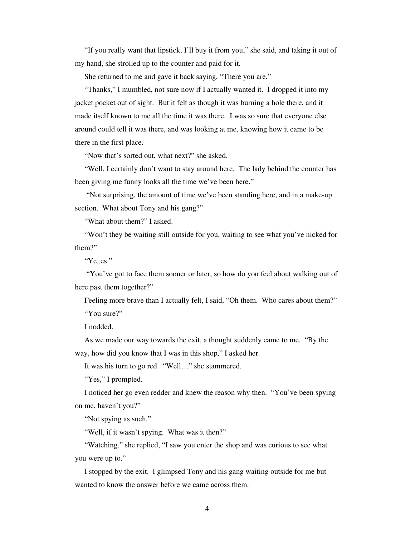"If you really want that lipstick, I'll buy it from you," she said, and taking it out of my hand, she strolled up to the counter and paid for it.

She returned to me and gave it back saying, "There you are."

 "Thanks," I mumbled, not sure now if I actually wanted it. I dropped it into my jacket pocket out of sight. But it felt as though it was burning a hole there, and it made itself known to me all the time it was there. I was so sure that everyone else around could tell it was there, and was looking at me, knowing how it came to be there in the first place.

"Now that's sorted out, what next?" she asked.

 "Well, I certainly don't want to stay around here. The lady behind the counter has been giving me funny looks all the time we've been here."

 "Not surprising, the amount of time we've been standing here, and in a make-up section. What about Tony and his gang?"

"What about them?" I asked.

 "Won't they be waiting still outside for you, waiting to see what you've nicked for them?"

"Ye..es."

 "You've got to face them sooner or later, so how do you feel about walking out of here past them together?"

Feeling more brave than I actually felt, I said, "Oh them. Who cares about them?" "You sure?"

I nodded.

 As we made our way towards the exit, a thought suddenly came to me. "By the way, how did you know that I was in this shop," I asked her.

It was his turn to go red. "Well…" she stammered.

"Yes," I prompted.

 I noticed her go even redder and knew the reason why then. "You've been spying on me, haven't you?"

"Not spying as such."

"Well, if it wasn't spying. What was it then?"

 "Watching," she replied, "I saw you enter the shop and was curious to see what you were up to."

 I stopped by the exit. I glimpsed Tony and his gang waiting outside for me but wanted to know the answer before we came across them.